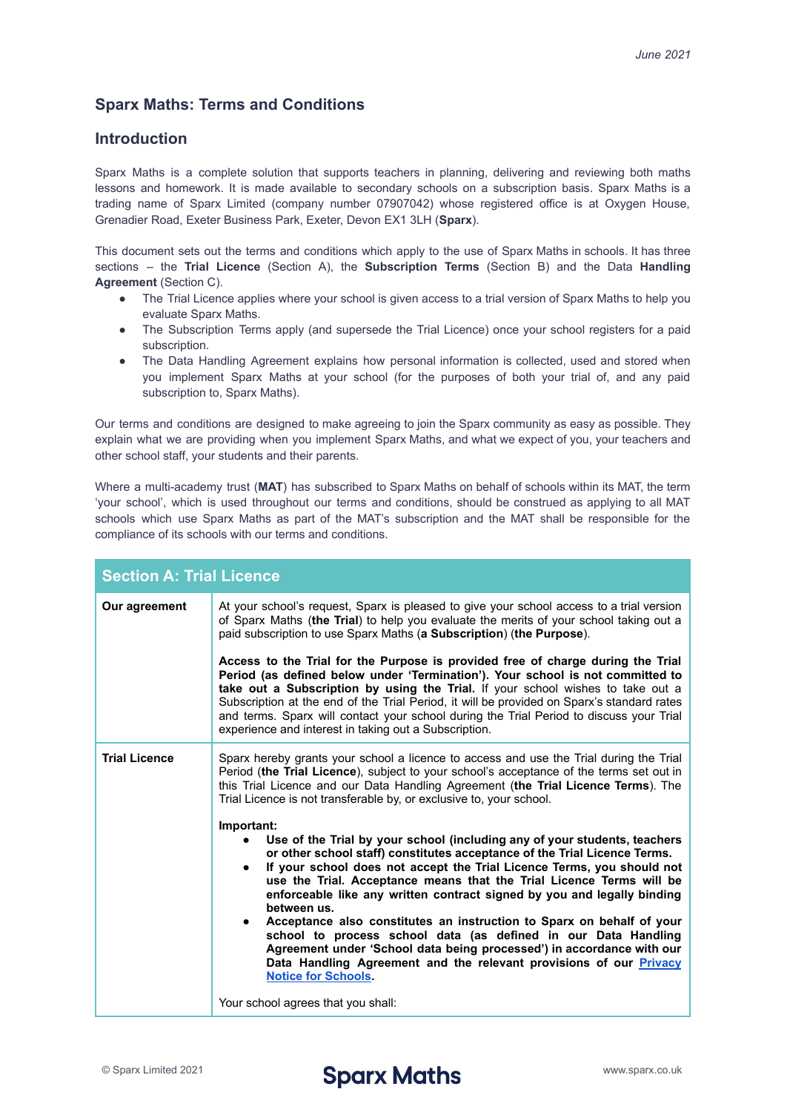## **Sparx Maths: Terms and Conditions**

## **Introduction**

Sparx Maths is a complete solution that supports teachers in planning, delivering and reviewing both maths lessons and homework. It is made available to secondary schools on a subscription basis. Sparx Maths is a trading name of Sparx Limited (company number 07907042) whose registered office is at Oxygen House, Grenadier Road, Exeter Business Park, Exeter, Devon EX1 3LH (**Sparx**).

This document sets out the terms and conditions which apply to the use of Sparx Maths in schools. It has three sections – the **Trial Licence** (Section A), the **Subscription Terms** (Section B) and the Data **Handling Agreement** (Section C).

- The Trial Licence applies where your school is given access to a trial version of Sparx Maths to help you evaluate Sparx Maths.
- The Subscription Terms apply (and supersede the Trial Licence) once your school registers for a paid subscription.
- The Data Handling Agreement explains how personal information is collected, used and stored when you implement Sparx Maths at your school (for the purposes of both your trial of, and any paid subscription to, Sparx Maths).

Our terms and conditions are designed to make agreeing to join the Sparx community as easy as possible. They explain what we are providing when you implement Sparx Maths, and what we expect of you, your teachers and other school staff, your students and their parents.

Where a multi-academy trust (**MAT**) has subscribed to Sparx Maths on behalf of schools within its MAT, the term 'your school', which is used throughout our terms and conditions, should be construed as applying to all MAT schools which use Sparx Maths as part of the MAT's subscription and the MAT shall be responsible for the compliance of its schools with our terms and conditions.

| <b>Section A: Trial Licence</b> |                                                                                                                                                                                                                                                                                                                                                                                                                                                                                                                                                                                                                                                                                                                                          |
|---------------------------------|------------------------------------------------------------------------------------------------------------------------------------------------------------------------------------------------------------------------------------------------------------------------------------------------------------------------------------------------------------------------------------------------------------------------------------------------------------------------------------------------------------------------------------------------------------------------------------------------------------------------------------------------------------------------------------------------------------------------------------------|
| Our agreement                   | At your school's request, Sparx is pleased to give your school access to a trial version<br>of Sparx Maths (the Trial) to help you evaluate the merits of your school taking out a<br>paid subscription to use Sparx Maths (a Subscription) (the Purpose).                                                                                                                                                                                                                                                                                                                                                                                                                                                                               |
|                                 | Access to the Trial for the Purpose is provided free of charge during the Trial<br>Period (as defined below under 'Termination'). Your school is not committed to<br>take out a Subscription by using the Trial. If your school wishes to take out a<br>Subscription at the end of the Trial Period, it will be provided on Sparx's standard rates<br>and terms. Sparx will contact your school during the Trial Period to discuss your Trial<br>experience and interest in taking out a Subscription.                                                                                                                                                                                                                                   |
| <b>Trial Licence</b>            | Sparx hereby grants your school a licence to access and use the Trial during the Trial<br>Period (the Trial Licence), subject to your school's acceptance of the terms set out in<br>this Trial Licence and our Data Handling Agreement (the Trial Licence Terms). The<br>Trial Licence is not transferable by, or exclusive to, your school.                                                                                                                                                                                                                                                                                                                                                                                            |
|                                 | Important:<br>Use of the Trial by your school (including any of your students, teachers<br>or other school staff) constitutes acceptance of the Trial Licence Terms.<br>If your school does not accept the Trial Licence Terms, you should not<br>use the Trial. Acceptance means that the Trial Licence Terms will be<br>enforceable like any written contract signed by you and legally binding<br>between us.<br>Acceptance also constitutes an instruction to Sparx on behalf of your<br>school to process school data (as defined in our Data Handling<br>Agreement under 'School data being processed') in accordance with our<br>Data Handling Agreement and the relevant provisions of our Privacy<br><b>Notice for Schools.</b> |
|                                 | Your school agrees that you shall:                                                                                                                                                                                                                                                                                                                                                                                                                                                                                                                                                                                                                                                                                                       |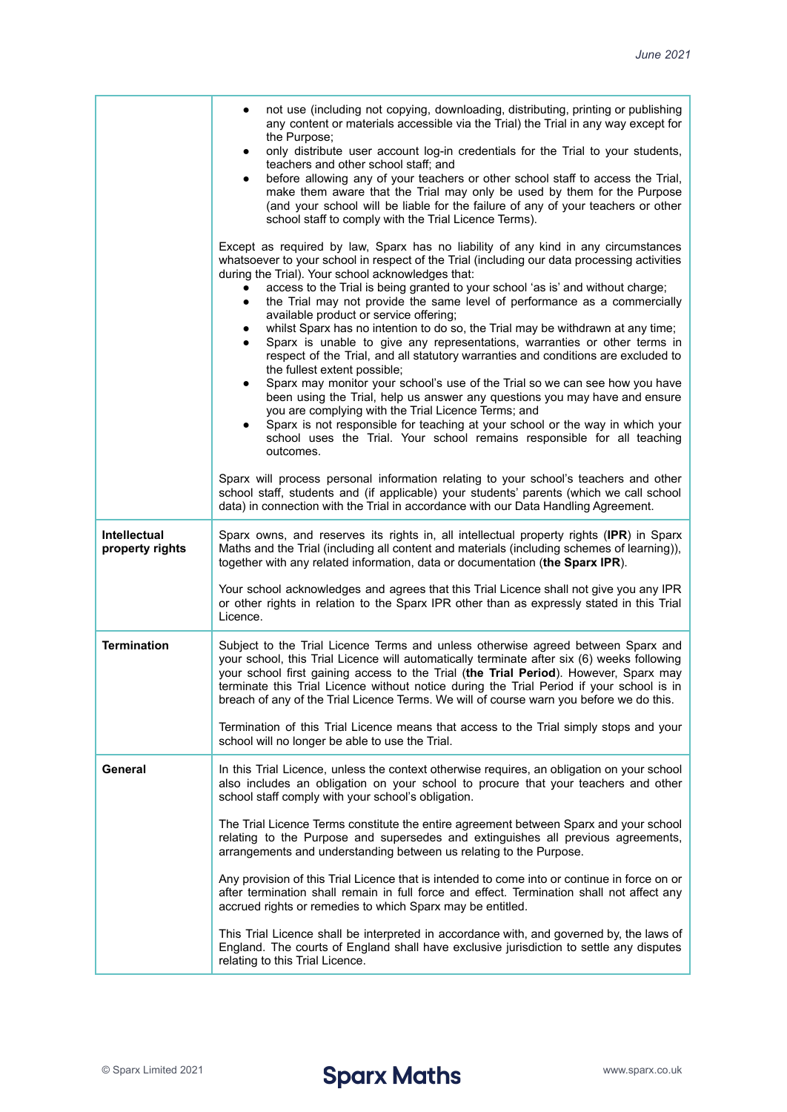|                                        | not use (including not copying, downloading, distributing, printing or publishing<br>any content or materials accessible via the Trial) the Trial in any way except for                                                                                                                                                                                                                                                                                                                                                                                                                                                                    |
|----------------------------------------|--------------------------------------------------------------------------------------------------------------------------------------------------------------------------------------------------------------------------------------------------------------------------------------------------------------------------------------------------------------------------------------------------------------------------------------------------------------------------------------------------------------------------------------------------------------------------------------------------------------------------------------------|
|                                        | the Purpose;<br>only distribute user account log-in credentials for the Trial to your students,<br>teachers and other school staff; and<br>before allowing any of your teachers or other school staff to access the Trial,<br>make them aware that the Trial may only be used by them for the Purpose<br>(and your school will be liable for the failure of any of your teachers or other<br>school staff to comply with the Trial Licence Terms).                                                                                                                                                                                         |
|                                        | Except as required by law, Sparx has no liability of any kind in any circumstances<br>whatsoever to your school in respect of the Trial (including our data processing activities<br>during the Trial). Your school acknowledges that:<br>access to the Trial is being granted to your school 'as is' and without charge;<br>the Trial may not provide the same level of performance as a commercially<br>$\bullet$<br>available product or service offering;<br>whilst Sparx has no intention to do so, the Trial may be withdrawn at any time;<br>Sparx is unable to give any representations, warranties or other terms in<br>$\bullet$ |
|                                        | respect of the Trial, and all statutory warranties and conditions are excluded to<br>the fullest extent possible;<br>Sparx may monitor your school's use of the Trial so we can see how you have<br>been using the Trial, help us answer any questions you may have and ensure<br>you are complying with the Trial Licence Terms; and<br>Sparx is not responsible for teaching at your school or the way in which your<br>school uses the Trial. Your school remains responsible for all teaching<br>outcomes.                                                                                                                             |
|                                        | Sparx will process personal information relating to your school's teachers and other<br>school staff, students and (if applicable) your students' parents (which we call school<br>data) in connection with the Trial in accordance with our Data Handling Agreement.                                                                                                                                                                                                                                                                                                                                                                      |
| <b>Intellectual</b><br>property rights | Sparx owns, and reserves its rights in, all intellectual property rights (IPR) in Sparx<br>Maths and the Trial (including all content and materials (including schemes of learning)),<br>together with any related information, data or documentation (the Sparx IPR).                                                                                                                                                                                                                                                                                                                                                                     |
|                                        | Your school acknowledges and agrees that this Trial Licence shall not give you any IPR<br>or other rights in relation to the Sparx IPR other than as expressly stated in this Trial<br>Licence.                                                                                                                                                                                                                                                                                                                                                                                                                                            |
| <b>Termination</b>                     | Subject to the Trial Licence Terms and unless otherwise agreed between Sparx and<br>your school, this Trial Licence will automatically terminate after six (6) weeks following<br>your school first gaining access to the Trial (the Trial Period). However, Sparx may<br>terminate this Trial Licence without notice during the Trial Period if your school is in<br>breach of any of the Trial Licence Terms. We will of course warn you before we do this.                                                                                                                                                                              |
|                                        | Termination of this Trial Licence means that access to the Trial simply stops and your<br>school will no longer be able to use the Trial.                                                                                                                                                                                                                                                                                                                                                                                                                                                                                                  |
| General                                | In this Trial Licence, unless the context otherwise requires, an obligation on your school<br>also includes an obligation on your school to procure that your teachers and other<br>school staff comply with your school's obligation.                                                                                                                                                                                                                                                                                                                                                                                                     |
|                                        | The Trial Licence Terms constitute the entire agreement between Sparx and your school<br>relating to the Purpose and supersedes and extinguishes all previous agreements,<br>arrangements and understanding between us relating to the Purpose.                                                                                                                                                                                                                                                                                                                                                                                            |
|                                        | Any provision of this Trial Licence that is intended to come into or continue in force on or<br>after termination shall remain in full force and effect. Termination shall not affect any<br>accrued rights or remedies to which Sparx may be entitled.                                                                                                                                                                                                                                                                                                                                                                                    |
|                                        | This Trial Licence shall be interpreted in accordance with, and governed by, the laws of<br>England. The courts of England shall have exclusive jurisdiction to settle any disputes<br>relating to this Trial Licence.                                                                                                                                                                                                                                                                                                                                                                                                                     |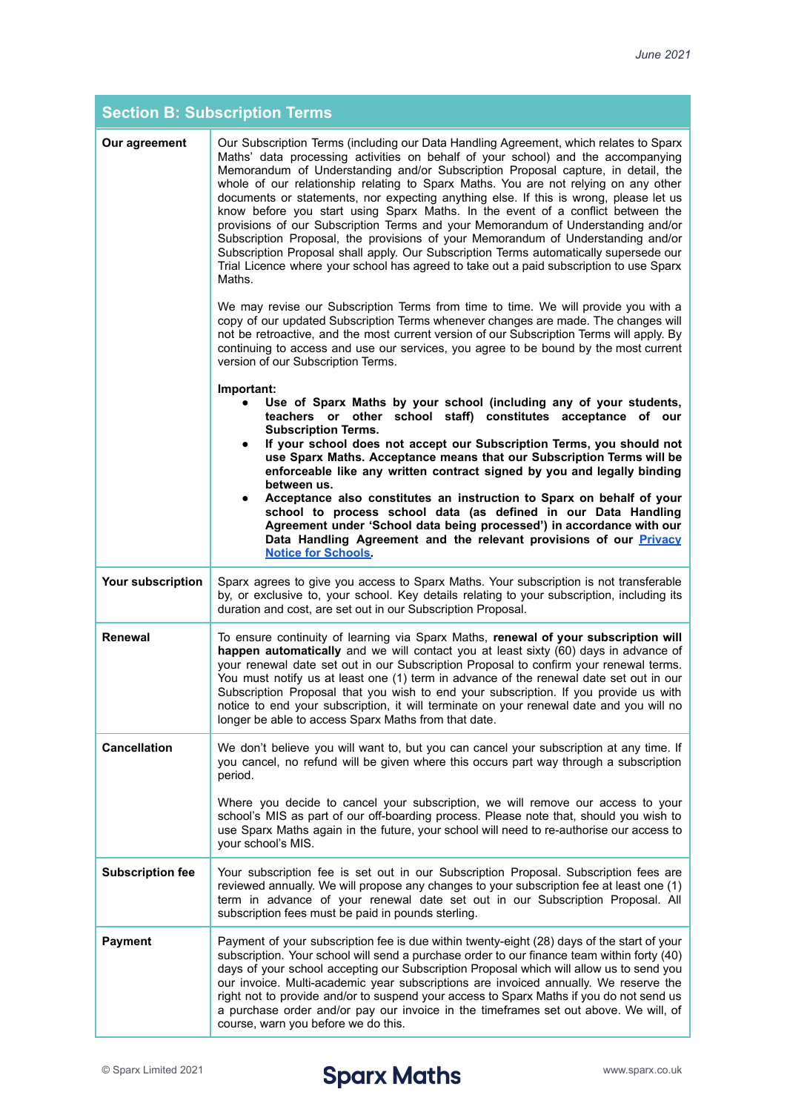| <b>Section B: Subscription Terms</b> |                                                                                                                                                                                                                                                                                                                                                                                                                                                                                                                                                                                                                                                                                                                                                                                                                                                                                                        |
|--------------------------------------|--------------------------------------------------------------------------------------------------------------------------------------------------------------------------------------------------------------------------------------------------------------------------------------------------------------------------------------------------------------------------------------------------------------------------------------------------------------------------------------------------------------------------------------------------------------------------------------------------------------------------------------------------------------------------------------------------------------------------------------------------------------------------------------------------------------------------------------------------------------------------------------------------------|
| Our agreement                        | Our Subscription Terms (including our Data Handling Agreement, which relates to Sparx<br>Maths' data processing activities on behalf of your school) and the accompanying<br>Memorandum of Understanding and/or Subscription Proposal capture, in detail, the<br>whole of our relationship relating to Sparx Maths. You are not relying on any other<br>documents or statements, nor expecting anything else. If this is wrong, please let us<br>know before you start using Sparx Maths. In the event of a conflict between the<br>provisions of our Subscription Terms and your Memorandum of Understanding and/or<br>Subscription Proposal, the provisions of your Memorandum of Understanding and/or<br>Subscription Proposal shall apply. Our Subscription Terms automatically supersede our<br>Trial Licence where your school has agreed to take out a paid subscription to use Sparx<br>Maths. |
|                                      | We may revise our Subscription Terms from time to time. We will provide you with a<br>copy of our updated Subscription Terms whenever changes are made. The changes will<br>not be retroactive, and the most current version of our Subscription Terms will apply. By<br>continuing to access and use our services, you agree to be bound by the most current<br>version of our Subscription Terms.                                                                                                                                                                                                                                                                                                                                                                                                                                                                                                    |
|                                      | Important:<br>Use of Sparx Maths by your school (including any of your students,<br>teachers or other school staff) constitutes acceptance of our<br><b>Subscription Terms.</b><br>If your school does not accept our Subscription Terms, you should not<br>$\bullet$<br>use Sparx Maths. Acceptance means that our Subscription Terms will be<br>enforceable like any written contract signed by you and legally binding<br>between us.                                                                                                                                                                                                                                                                                                                                                                                                                                                               |
|                                      | Acceptance also constitutes an instruction to Sparx on behalf of your<br>٠<br>school to process school data (as defined in our Data Handling<br>Agreement under 'School data being processed') in accordance with our<br>Data Handling Agreement and the relevant provisions of our Privacy<br><b>Notice for Schools</b>                                                                                                                                                                                                                                                                                                                                                                                                                                                                                                                                                                               |
| Your subscription                    | Sparx agrees to give you access to Sparx Maths. Your subscription is not transferable<br>by, or exclusive to, your school. Key details relating to your subscription, including its<br>duration and cost, are set out in our Subscription Proposal.                                                                                                                                                                                                                                                                                                                                                                                                                                                                                                                                                                                                                                                    |
| <b>Renewal</b>                       | To ensure continuity of learning via Sparx Maths, renewal of your subscription will<br>happen automatically and we will contact you at least sixty (60) days in advance of<br>your renewal date set out in our Subscription Proposal to confirm your renewal terms.<br>You must notify us at least one (1) term in advance of the renewal date set out in our<br>Subscription Proposal that you wish to end your subscription. If you provide us with<br>notice to end your subscription, it will terminate on your renewal date and you will no<br>longer be able to access Sparx Maths from that date.                                                                                                                                                                                                                                                                                               |
| <b>Cancellation</b>                  | We don't believe you will want to, but you can cancel your subscription at any time. If<br>you cancel, no refund will be given where this occurs part way through a subscription<br>period.                                                                                                                                                                                                                                                                                                                                                                                                                                                                                                                                                                                                                                                                                                            |
|                                      | Where you decide to cancel your subscription, we will remove our access to your<br>school's MIS as part of our off-boarding process. Please note that, should you wish to<br>use Sparx Maths again in the future, your school will need to re-authorise our access to<br>your school's MIS.                                                                                                                                                                                                                                                                                                                                                                                                                                                                                                                                                                                                            |
| <b>Subscription fee</b>              | Your subscription fee is set out in our Subscription Proposal. Subscription fees are<br>reviewed annually. We will propose any changes to your subscription fee at least one (1)<br>term in advance of your renewal date set out in our Subscription Proposal. All<br>subscription fees must be paid in pounds sterling.                                                                                                                                                                                                                                                                                                                                                                                                                                                                                                                                                                               |
| <b>Payment</b>                       | Payment of your subscription fee is due within twenty-eight (28) days of the start of your<br>subscription. Your school will send a purchase order to our finance team within forty (40)<br>days of your school accepting our Subscription Proposal which will allow us to send you<br>our invoice. Multi-academic year subscriptions are invoiced annually. We reserve the<br>right not to provide and/or to suspend your access to Sparx Maths if you do not send us<br>a purchase order and/or pay our invoice in the timeframes set out above. We will, of<br>course, warn you before we do this.                                                                                                                                                                                                                                                                                                  |

© Sparx Limited 2021 www.sparx.co.uk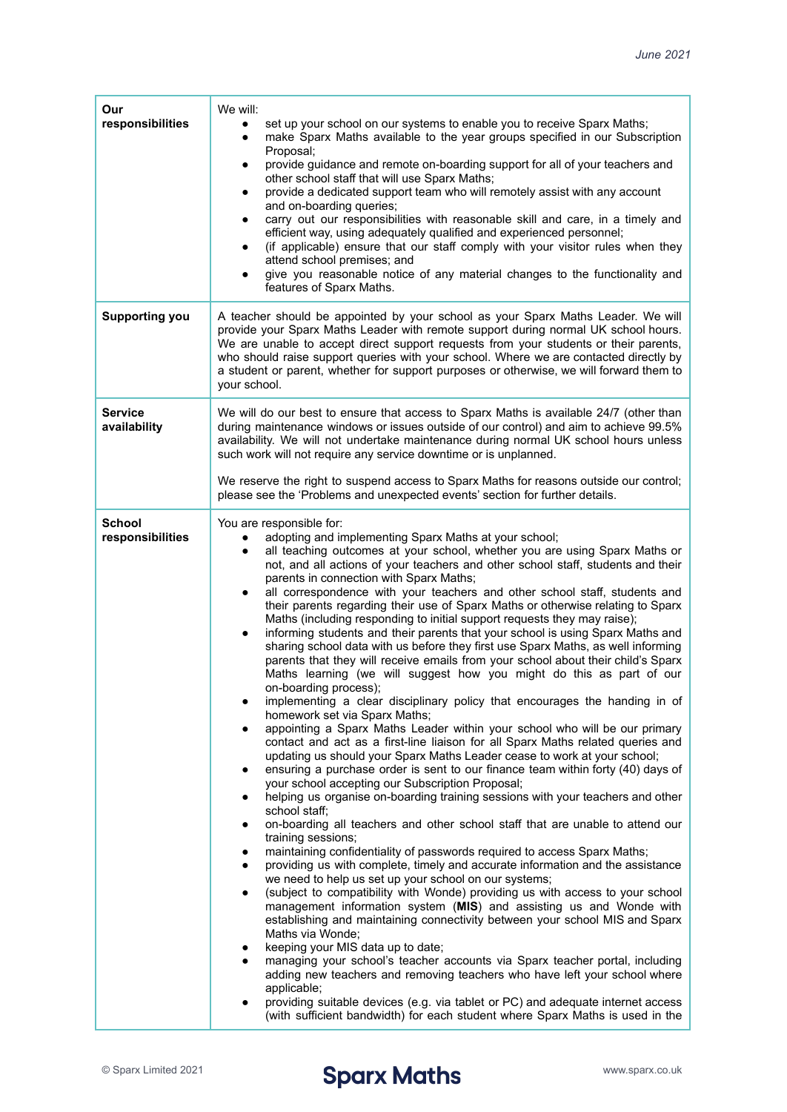| Our<br>responsibilities           | We will:<br>set up your school on our systems to enable you to receive Sparx Maths;<br>make Sparx Maths available to the year groups specified in our Subscription<br>٠<br>Proposal;<br>provide guidance and remote on-boarding support for all of your teachers and<br>other school staff that will use Sparx Maths;<br>provide a dedicated support team who will remotely assist with any account<br>and on-boarding queries;<br>carry out our responsibilities with reasonable skill and care, in a timely and<br>efficient way, using adequately qualified and experienced personnel;<br>(if applicable) ensure that our staff comply with your visitor rules when they<br>attend school premises; and<br>give you reasonable notice of any material changes to the functionality and<br>features of Sparx Maths.                                                                                                                                                                                                                                                                                                                                                                                                                                                                                                                                                                                                                                                                                                                                                                                                                                                                                                                                                                                                                                                                                                                                                                                                                                                                                                                                                                                                                                                                                                                                                                                                                                                                                       |
|-----------------------------------|-------------------------------------------------------------------------------------------------------------------------------------------------------------------------------------------------------------------------------------------------------------------------------------------------------------------------------------------------------------------------------------------------------------------------------------------------------------------------------------------------------------------------------------------------------------------------------------------------------------------------------------------------------------------------------------------------------------------------------------------------------------------------------------------------------------------------------------------------------------------------------------------------------------------------------------------------------------------------------------------------------------------------------------------------------------------------------------------------------------------------------------------------------------------------------------------------------------------------------------------------------------------------------------------------------------------------------------------------------------------------------------------------------------------------------------------------------------------------------------------------------------------------------------------------------------------------------------------------------------------------------------------------------------------------------------------------------------------------------------------------------------------------------------------------------------------------------------------------------------------------------------------------------------------------------------------------------------------------------------------------------------------------------------------------------------------------------------------------------------------------------------------------------------------------------------------------------------------------------------------------------------------------------------------------------------------------------------------------------------------------------------------------------------------------------------------------------------------------------------------------------------|
| <b>Supporting you</b>             | A teacher should be appointed by your school as your Sparx Maths Leader. We will<br>provide your Sparx Maths Leader with remote support during normal UK school hours.<br>We are unable to accept direct support requests from your students or their parents,<br>who should raise support queries with your school. Where we are contacted directly by<br>a student or parent, whether for support purposes or otherwise, we will forward them to<br>your school.                                                                                                                                                                                                                                                                                                                                                                                                                                                                                                                                                                                                                                                                                                                                                                                                                                                                                                                                                                                                                                                                                                                                                                                                                                                                                                                                                                                                                                                                                                                                                                                                                                                                                                                                                                                                                                                                                                                                                                                                                                          |
| <b>Service</b><br>availability    | We will do our best to ensure that access to Sparx Maths is available 24/7 (other than<br>during maintenance windows or issues outside of our control) and aim to achieve 99.5%<br>availability. We will not undertake maintenance during normal UK school hours unless<br>such work will not require any service downtime or is unplanned.<br>We reserve the right to suspend access to Sparx Maths for reasons outside our control;<br>please see the 'Problems and unexpected events' section for further details.                                                                                                                                                                                                                                                                                                                                                                                                                                                                                                                                                                                                                                                                                                                                                                                                                                                                                                                                                                                                                                                                                                                                                                                                                                                                                                                                                                                                                                                                                                                                                                                                                                                                                                                                                                                                                                                                                                                                                                                       |
| <b>School</b><br>responsibilities | You are responsible for:<br>adopting and implementing Sparx Maths at your school;<br>all teaching outcomes at your school, whether you are using Sparx Maths or<br>not, and all actions of your teachers and other school staff, students and their<br>parents in connection with Sparx Maths;<br>all correspondence with your teachers and other school staff, students and<br>$\bullet$<br>their parents regarding their use of Sparx Maths or otherwise relating to Sparx<br>Maths (including responding to initial support requests they may raise);<br>informing students and their parents that your school is using Sparx Maths and<br>٠<br>sharing school data with us before they first use Sparx Maths, as well informing<br>parents that they will receive emails from your school about their child's Sparx<br>Maths learning (we will suggest how you might do this as part of our<br>on-boarding process);<br>implementing a clear disciplinary policy that encourages the handing in of<br>homework set via Sparx Maths;<br>appointing a Sparx Maths Leader within your school who will be our primary<br>contact and act as a first-line liaison for all Sparx Maths related queries and<br>updating us should your Sparx Maths Leader cease to work at your school;<br>ensuring a purchase order is sent to our finance team within forty (40) days of<br>your school accepting our Subscription Proposal;<br>helping us organise on-boarding training sessions with your teachers and other<br>school staff;<br>on-boarding all teachers and other school staff that are unable to attend our<br>training sessions;<br>maintaining confidentiality of passwords required to access Sparx Maths;<br>providing us with complete, timely and accurate information and the assistance<br>we need to help us set up your school on our systems;<br>(subject to compatibility with Wonde) providing us with access to your school<br>management information system (MIS) and assisting us and Wonde with<br>establishing and maintaining connectivity between your school MIS and Sparx<br>Maths via Wonde;<br>keeping your MIS data up to date;<br>managing your school's teacher accounts via Sparx teacher portal, including<br>adding new teachers and removing teachers who have left your school where<br>applicable;<br>providing suitable devices (e.g. via tablet or PC) and adequate internet access<br>(with sufficient bandwidth) for each student where Sparx Maths is used in the |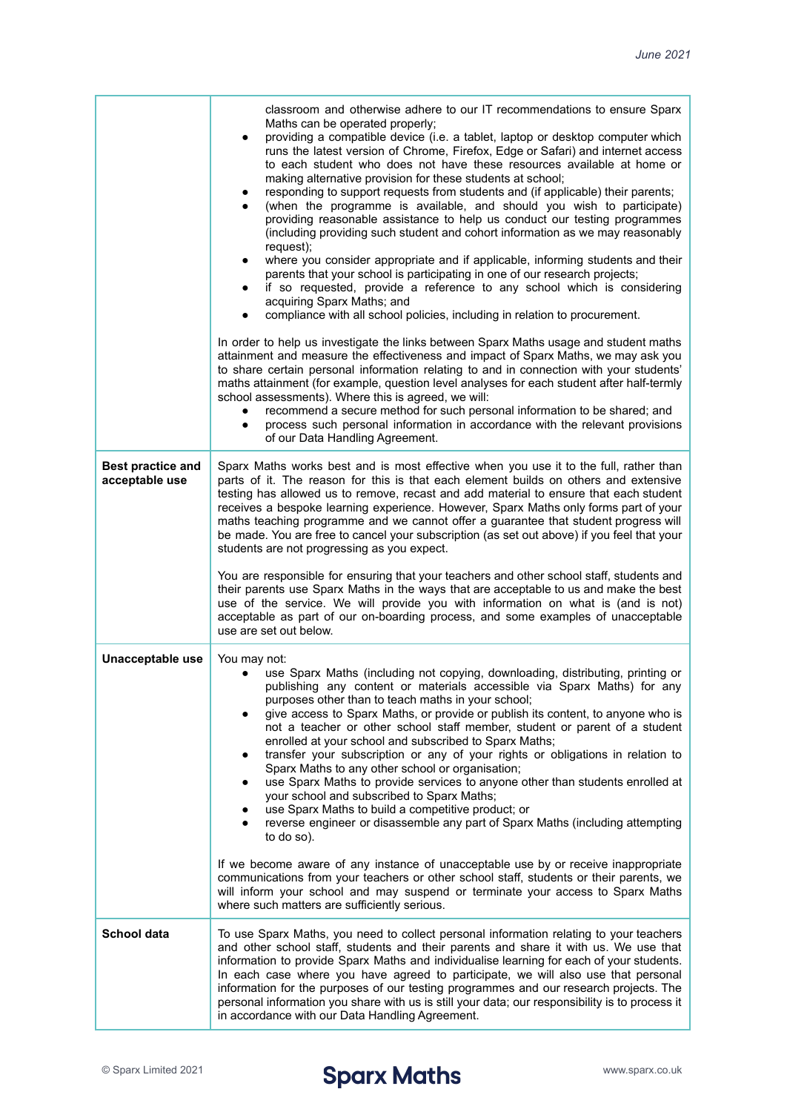|                                            | classroom and otherwise adhere to our IT recommendations to ensure Sparx<br>Maths can be operated properly;<br>providing a compatible device (i.e. a tablet, laptop or desktop computer which<br>runs the latest version of Chrome, Firefox, Edge or Safari) and internet access<br>to each student who does not have these resources available at home or<br>making alternative provision for these students at school;<br>responding to support requests from students and (if applicable) their parents;<br>(when the programme is available, and should you wish to participate)<br>providing reasonable assistance to help us conduct our testing programmes<br>(including providing such student and cohort information as we may reasonably<br>request);<br>where you consider appropriate and if applicable, informing students and their<br>parents that your school is participating in one of our research projects;<br>if so requested, provide a reference to any school which is considering<br>acquiring Sparx Maths; and<br>compliance with all school policies, including in relation to procurement. |
|--------------------------------------------|------------------------------------------------------------------------------------------------------------------------------------------------------------------------------------------------------------------------------------------------------------------------------------------------------------------------------------------------------------------------------------------------------------------------------------------------------------------------------------------------------------------------------------------------------------------------------------------------------------------------------------------------------------------------------------------------------------------------------------------------------------------------------------------------------------------------------------------------------------------------------------------------------------------------------------------------------------------------------------------------------------------------------------------------------------------------------------------------------------------------|
|                                            | In order to help us investigate the links between Sparx Maths usage and student maths<br>attainment and measure the effectiveness and impact of Sparx Maths, we may ask you<br>to share certain personal information relating to and in connection with your students'<br>maths attainment (for example, question level analyses for each student after half-termly<br>school assessments). Where this is agreed, we will:<br>recommend a secure method for such personal information to be shared; and<br>process such personal information in accordance with the relevant provisions<br>$\bullet$<br>of our Data Handling Agreement.                                                                                                                                                                                                                                                                                                                                                                                                                                                                                |
| <b>Best practice and</b><br>acceptable use | Sparx Maths works best and is most effective when you use it to the full, rather than<br>parts of it. The reason for this is that each element builds on others and extensive<br>testing has allowed us to remove, recast and add material to ensure that each student<br>receives a bespoke learning experience. However, Sparx Maths only forms part of your<br>maths teaching programme and we cannot offer a guarantee that student progress will<br>be made. You are free to cancel your subscription (as set out above) if you feel that your<br>students are not progressing as you expect.<br>You are responsible for ensuring that your teachers and other school staff, students and<br>their parents use Sparx Maths in the ways that are acceptable to us and make the best<br>use of the service. We will provide you with information on what is (and is not)<br>acceptable as part of our on-boarding process, and some examples of unacceptable<br>use are set out below.                                                                                                                              |
| Unacceptable use                           | You may not:<br>use Sparx Maths (including not copying, downloading, distributing, printing or<br>publishing any content or materials accessible via Sparx Maths) for any<br>purposes other than to teach maths in your school;<br>give access to Sparx Maths, or provide or publish its content, to anyone who is<br>not a teacher or other school staff member, student or parent of a student<br>enrolled at your school and subscribed to Sparx Maths;<br>transfer your subscription or any of your rights or obligations in relation to<br>Sparx Maths to any other school or organisation;<br>use Sparx Maths to provide services to anyone other than students enrolled at<br>your school and subscribed to Sparx Maths;<br>use Sparx Maths to build a competitive product; or<br>reverse engineer or disassemble any part of Sparx Maths (including attempting<br>to do so).<br>If we become aware of any instance of unacceptable use by or receive inappropriate<br>communications from your teachers or other school staff, students or their parents, we                                                   |
|                                            | will inform your school and may suspend or terminate your access to Sparx Maths<br>where such matters are sufficiently serious.                                                                                                                                                                                                                                                                                                                                                                                                                                                                                                                                                                                                                                                                                                                                                                                                                                                                                                                                                                                        |
| School data                                | To use Sparx Maths, you need to collect personal information relating to your teachers<br>and other school staff, students and their parents and share it with us. We use that<br>information to provide Sparx Maths and individualise learning for each of your students.<br>In each case where you have agreed to participate, we will also use that personal<br>information for the purposes of our testing programmes and our research projects. The<br>personal information you share with us is still your data; our responsibility is to process it<br>in accordance with our Data Handling Agreement.                                                                                                                                                                                                                                                                                                                                                                                                                                                                                                          |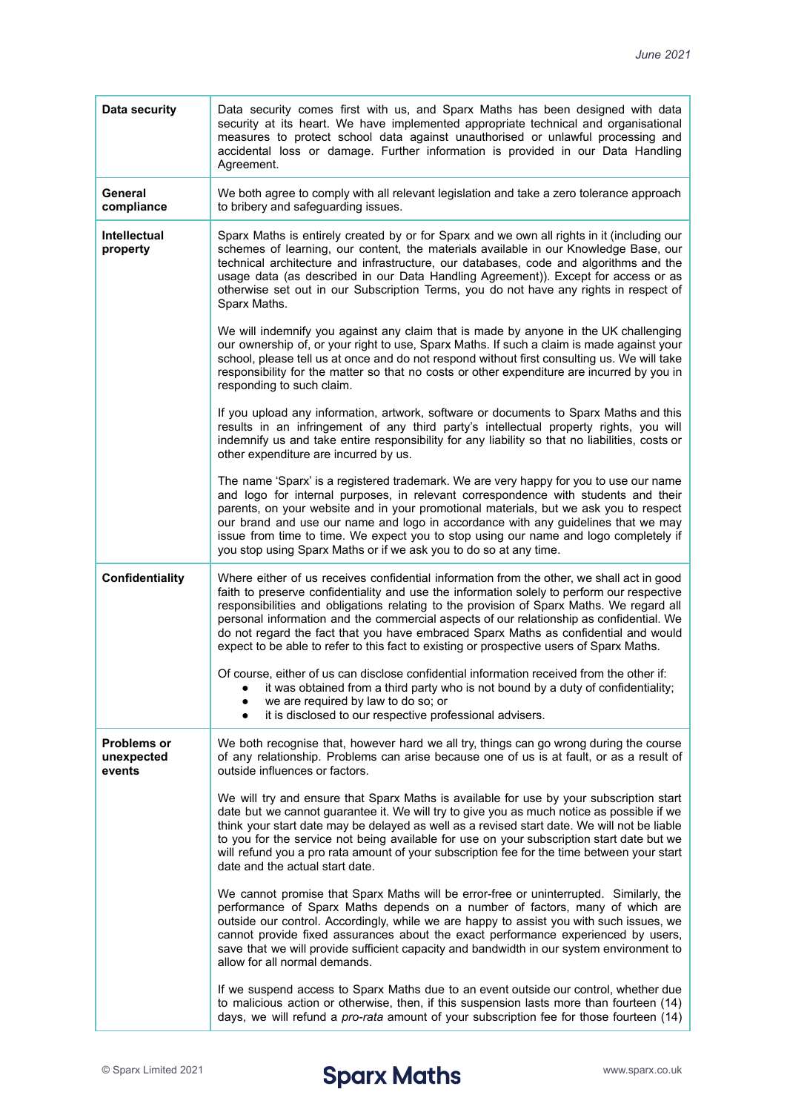| <b>Data security</b>                       | Data security comes first with us, and Sparx Maths has been designed with data<br>security at its heart. We have implemented appropriate technical and organisational<br>measures to protect school data against unauthorised or unlawful processing and<br>accidental loss or damage. Further information is provided in our Data Handling<br>Agreement.                                                                                                                                                                                                         |
|--------------------------------------------|-------------------------------------------------------------------------------------------------------------------------------------------------------------------------------------------------------------------------------------------------------------------------------------------------------------------------------------------------------------------------------------------------------------------------------------------------------------------------------------------------------------------------------------------------------------------|
| General<br>compliance                      | We both agree to comply with all relevant legislation and take a zero tolerance approach<br>to bribery and safeguarding issues.                                                                                                                                                                                                                                                                                                                                                                                                                                   |
| <b>Intellectual</b><br>property            | Sparx Maths is entirely created by or for Sparx and we own all rights in it (including our<br>schemes of learning, our content, the materials available in our Knowledge Base, our<br>technical architecture and infrastructure, our databases, code and algorithms and the<br>usage data (as described in our Data Handling Agreement)). Except for access or as<br>otherwise set out in our Subscription Terms, you do not have any rights in respect of<br>Sparx Maths.                                                                                        |
|                                            | We will indemnify you against any claim that is made by anyone in the UK challenging<br>our ownership of, or your right to use, Sparx Maths. If such a claim is made against your<br>school, please tell us at once and do not respond without first consulting us. We will take<br>responsibility for the matter so that no costs or other expenditure are incurred by you in<br>responding to such claim.                                                                                                                                                       |
|                                            | If you upload any information, artwork, software or documents to Sparx Maths and this<br>results in an infringement of any third party's intellectual property rights, you will<br>indemnify us and take entire responsibility for any liability so that no liabilities, costs or<br>other expenditure are incurred by us.                                                                                                                                                                                                                                        |
|                                            | The name 'Sparx' is a registered trademark. We are very happy for you to use our name<br>and logo for internal purposes, in relevant correspondence with students and their<br>parents, on your website and in your promotional materials, but we ask you to respect<br>our brand and use our name and logo in accordance with any guidelines that we may<br>issue from time to time. We expect you to stop using our name and logo completely if<br>you stop using Sparx Maths or if we ask you to do so at any time.                                            |
|                                            |                                                                                                                                                                                                                                                                                                                                                                                                                                                                                                                                                                   |
| <b>Confidentiality</b>                     | Where either of us receives confidential information from the other, we shall act in good<br>faith to preserve confidentiality and use the information solely to perform our respective<br>responsibilities and obligations relating to the provision of Sparx Maths. We regard all<br>personal information and the commercial aspects of our relationship as confidential. We<br>do not regard the fact that you have embraced Sparx Maths as confidential and would<br>expect to be able to refer to this fact to existing or prospective users of Sparx Maths. |
|                                            | Of course, either of us can disclose confidential information received from the other if:<br>• it was obtained from a third party who is not bound by a duty of confidentiality;<br>we are required by law to do so; or<br>it is disclosed to our respective professional advisers.                                                                                                                                                                                                                                                                               |
| <b>Problems or</b><br>unexpected<br>events | We both recognise that, however hard we all try, things can go wrong during the course<br>of any relationship. Problems can arise because one of us is at fault, or as a result of<br>outside influences or factors.                                                                                                                                                                                                                                                                                                                                              |
|                                            | We will try and ensure that Sparx Maths is available for use by your subscription start<br>date but we cannot guarantee it. We will try to give you as much notice as possible if we<br>think your start date may be delayed as well as a revised start date. We will not be liable<br>to you for the service not being available for use on your subscription start date but we<br>will refund you a pro rata amount of your subscription fee for the time between your start<br>date and the actual start date.                                                 |
|                                            | We cannot promise that Sparx Maths will be error-free or uninterrupted. Similarly, the<br>performance of Sparx Maths depends on a number of factors, many of which are<br>outside our control. Accordingly, while we are happy to assist you with such issues, we<br>cannot provide fixed assurances about the exact performance experienced by users,<br>save that we will provide sufficient capacity and bandwidth in our system environment to<br>allow for all normal demands.                                                                               |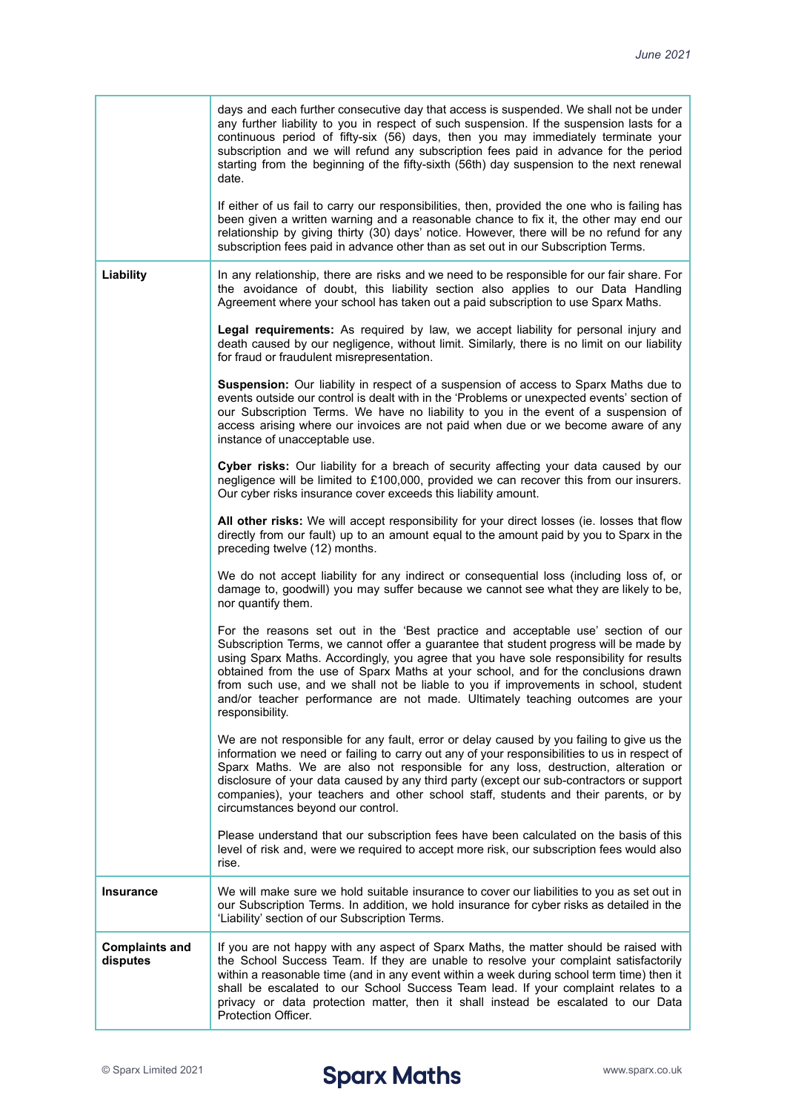|                                   | days and each further consecutive day that access is suspended. We shall not be under<br>any further liability to you in respect of such suspension. If the suspension lasts for a<br>continuous period of fifty-six (56) days, then you may immediately terminate your<br>subscription and we will refund any subscription fees paid in advance for the period<br>starting from the beginning of the fifty-sixth (56th) day suspension to the next renewal<br>date.<br>If either of us fail to carry our responsibilities, then, provided the one who is failing has<br>been given a written warning and a reasonable chance to fix it, the other may end our<br>relationship by giving thirty (30) days' notice. However, there will be no refund for any<br>subscription fees paid in advance other than as set out in our Subscription Terms. |
|-----------------------------------|---------------------------------------------------------------------------------------------------------------------------------------------------------------------------------------------------------------------------------------------------------------------------------------------------------------------------------------------------------------------------------------------------------------------------------------------------------------------------------------------------------------------------------------------------------------------------------------------------------------------------------------------------------------------------------------------------------------------------------------------------------------------------------------------------------------------------------------------------|
| Liability                         | In any relationship, there are risks and we need to be responsible for our fair share. For<br>the avoidance of doubt, this liability section also applies to our Data Handling<br>Agreement where your school has taken out a paid subscription to use Sparx Maths.                                                                                                                                                                                                                                                                                                                                                                                                                                                                                                                                                                               |
|                                   | Legal requirements: As required by law, we accept liability for personal injury and<br>death caused by our negligence, without limit. Similarly, there is no limit on our liability<br>for fraud or fraudulent misrepresentation.                                                                                                                                                                                                                                                                                                                                                                                                                                                                                                                                                                                                                 |
|                                   | Suspension: Our liability in respect of a suspension of access to Sparx Maths due to<br>events outside our control is dealt with in the 'Problems or unexpected events' section of<br>our Subscription Terms. We have no liability to you in the event of a suspension of<br>access arising where our invoices are not paid when due or we become aware of any<br>instance of unacceptable use.                                                                                                                                                                                                                                                                                                                                                                                                                                                   |
|                                   | Cyber risks: Our liability for a breach of security affecting your data caused by our<br>negligence will be limited to £100,000, provided we can recover this from our insurers.<br>Our cyber risks insurance cover exceeds this liability amount.                                                                                                                                                                                                                                                                                                                                                                                                                                                                                                                                                                                                |
|                                   | All other risks: We will accept responsibility for your direct losses (ie. losses that flow<br>directly from our fault) up to an amount equal to the amount paid by you to Sparx in the<br>preceding twelve (12) months.                                                                                                                                                                                                                                                                                                                                                                                                                                                                                                                                                                                                                          |
|                                   | We do not accept liability for any indirect or consequential loss (including loss of, or<br>damage to, goodwill) you may suffer because we cannot see what they are likely to be,<br>nor quantify them.                                                                                                                                                                                                                                                                                                                                                                                                                                                                                                                                                                                                                                           |
|                                   | For the reasons set out in the 'Best practice and acceptable use' section of our<br>Subscription Terms, we cannot offer a guarantee that student progress will be made by<br>using Sparx Maths. Accordingly, you agree that you have sole responsibility for results<br>obtained from the use of Sparx Maths at your school, and for the conclusions drawn<br>from such use, and we shall not be liable to you if improvements in school, student<br>and/or teacher performance are not made. Ultimately teaching outcomes are your<br>responsibility.                                                                                                                                                                                                                                                                                            |
|                                   | We are not responsible for any fault, error or delay caused by you failing to give us the<br>information we need or failing to carry out any of your responsibilities to us in respect of<br>Sparx Maths. We are also not responsible for any loss, destruction, alteration or<br>disclosure of your data caused by any third party (except our sub-contractors or support<br>companies), your teachers and other school staff, students and their parents, or by<br>circumstances beyond our control.                                                                                                                                                                                                                                                                                                                                            |
|                                   | Please understand that our subscription fees have been calculated on the basis of this<br>level of risk and, were we required to accept more risk, our subscription fees would also<br>rise.                                                                                                                                                                                                                                                                                                                                                                                                                                                                                                                                                                                                                                                      |
| <b>Insurance</b>                  | We will make sure we hold suitable insurance to cover our liabilities to you as set out in<br>our Subscription Terms. In addition, we hold insurance for cyber risks as detailed in the<br>'Liability' section of our Subscription Terms.                                                                                                                                                                                                                                                                                                                                                                                                                                                                                                                                                                                                         |
| <b>Complaints and</b><br>disputes | If you are not happy with any aspect of Sparx Maths, the matter should be raised with<br>the School Success Team. If they are unable to resolve your complaint satisfactorily<br>within a reasonable time (and in any event within a week during school term time) then it<br>shall be escalated to our School Success Team lead. If your complaint relates to a<br>privacy or data protection matter, then it shall instead be escalated to our Data<br>Protection Officer.                                                                                                                                                                                                                                                                                                                                                                      |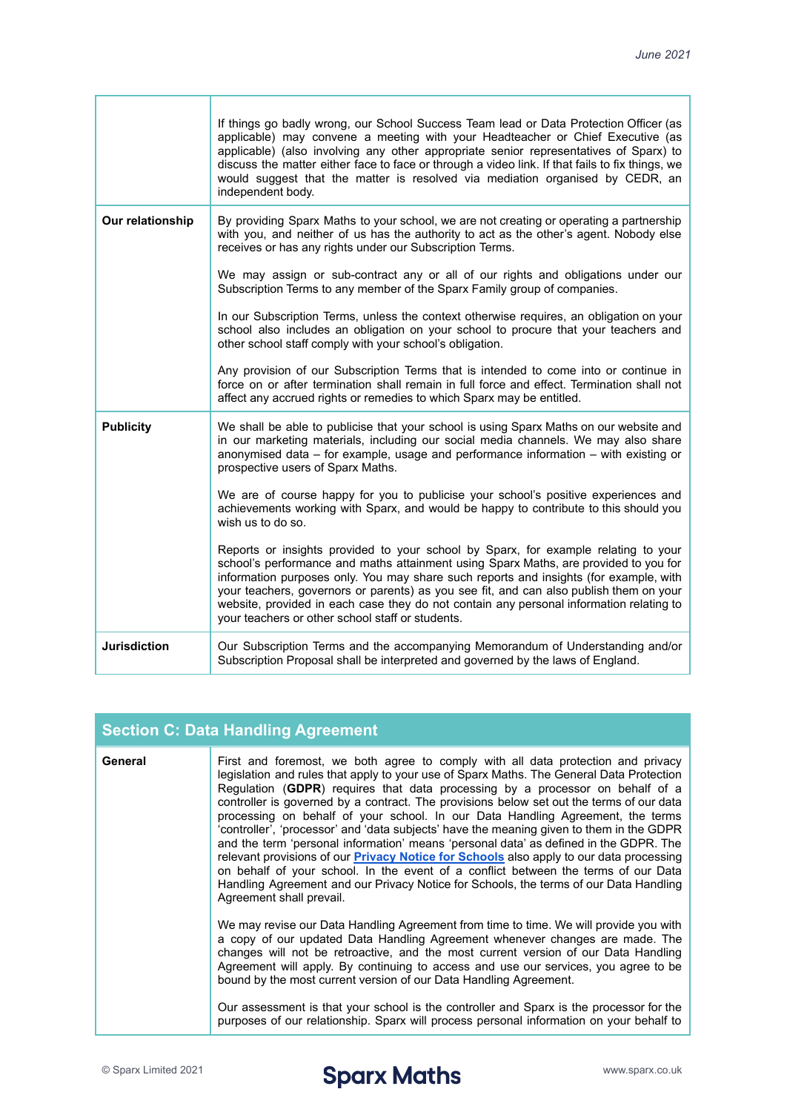|                     | If things go badly wrong, our School Success Team lead or Data Protection Officer (as<br>applicable) may convene a meeting with your Headteacher or Chief Executive (as<br>applicable) (also involving any other appropriate senior representatives of Sparx) to<br>discuss the matter either face to face or through a video link. If that fails to fix things, we<br>would suggest that the matter is resolved via mediation organised by CEDR, an<br>independent body.                                    |
|---------------------|--------------------------------------------------------------------------------------------------------------------------------------------------------------------------------------------------------------------------------------------------------------------------------------------------------------------------------------------------------------------------------------------------------------------------------------------------------------------------------------------------------------|
| Our relationship    | By providing Sparx Maths to your school, we are not creating or operating a partnership<br>with you, and neither of us has the authority to act as the other's agent. Nobody else<br>receives or has any rights under our Subscription Terms.                                                                                                                                                                                                                                                                |
|                     | We may assign or sub-contract any or all of our rights and obligations under our<br>Subscription Terms to any member of the Sparx Family group of companies.                                                                                                                                                                                                                                                                                                                                                 |
|                     | In our Subscription Terms, unless the context otherwise requires, an obligation on your<br>school also includes an obligation on your school to procure that your teachers and<br>other school staff comply with your school's obligation.                                                                                                                                                                                                                                                                   |
|                     | Any provision of our Subscription Terms that is intended to come into or continue in<br>force on or after termination shall remain in full force and effect. Termination shall not<br>affect any accrued rights or remedies to which Sparx may be entitled.                                                                                                                                                                                                                                                  |
| <b>Publicity</b>    | We shall be able to publicise that your school is using Sparx Maths on our website and<br>in our marketing materials, including our social media channels. We may also share<br>anonymised data - for example, usage and performance information - with existing or<br>prospective users of Sparx Maths.                                                                                                                                                                                                     |
|                     | We are of course happy for you to publicise your school's positive experiences and<br>achievements working with Sparx, and would be happy to contribute to this should you<br>wish us to do so.                                                                                                                                                                                                                                                                                                              |
|                     | Reports or insights provided to your school by Sparx, for example relating to your<br>school's performance and maths attainment using Sparx Maths, are provided to you for<br>information purposes only. You may share such reports and insights (for example, with<br>your teachers, governors or parents) as you see fit, and can also publish them on your<br>website, provided in each case they do not contain any personal information relating to<br>your teachers or other school staff or students. |
| <b>Jurisdiction</b> | Our Subscription Terms and the accompanying Memorandum of Understanding and/or<br>Subscription Proposal shall be interpreted and governed by the laws of England.                                                                                                                                                                                                                                                                                                                                            |

| <b>Section C: Data Handling Agreement</b> |                                                                                                                                                                                                                                                                                                                                                                                                                                                                                                                                                                                                                                                                                                                                                                                                                                                                                                                                               |
|-------------------------------------------|-----------------------------------------------------------------------------------------------------------------------------------------------------------------------------------------------------------------------------------------------------------------------------------------------------------------------------------------------------------------------------------------------------------------------------------------------------------------------------------------------------------------------------------------------------------------------------------------------------------------------------------------------------------------------------------------------------------------------------------------------------------------------------------------------------------------------------------------------------------------------------------------------------------------------------------------------|
| General                                   | First and foremost, we both agree to comply with all data protection and privacy<br>legislation and rules that apply to your use of Sparx Maths. The General Data Protection<br>Regulation (GDPR) requires that data processing by a processor on behalf of a<br>controller is governed by a contract. The provisions below set out the terms of our data<br>processing on behalf of your school. In our Data Handling Agreement, the terms<br>'controller', 'processor' and 'data subjects' have the meaning given to them in the GDPR<br>and the term 'personal information' means 'personal data' as defined in the GDPR. The<br>relevant provisions of our <b>Privacy Notice for Schools</b> also apply to our data processing<br>on behalf of your school. In the event of a conflict between the terms of our Data<br>Handling Agreement and our Privacy Notice for Schools, the terms of our Data Handling<br>Agreement shall prevail. |
|                                           | We may revise our Data Handling Agreement from time to time. We will provide you with<br>a copy of our updated Data Handling Agreement whenever changes are made. The<br>changes will not be retroactive, and the most current version of our Data Handling<br>Agreement will apply. By continuing to access and use our services, you agree to be<br>bound by the most current version of our Data Handling Agreement.<br>Our assessment is that your school is the controller and Sparx is the processor for the<br>purposes of our relationship. Sparx will process personal information on your behalf to                                                                                                                                                                                                                                                                                                                                 |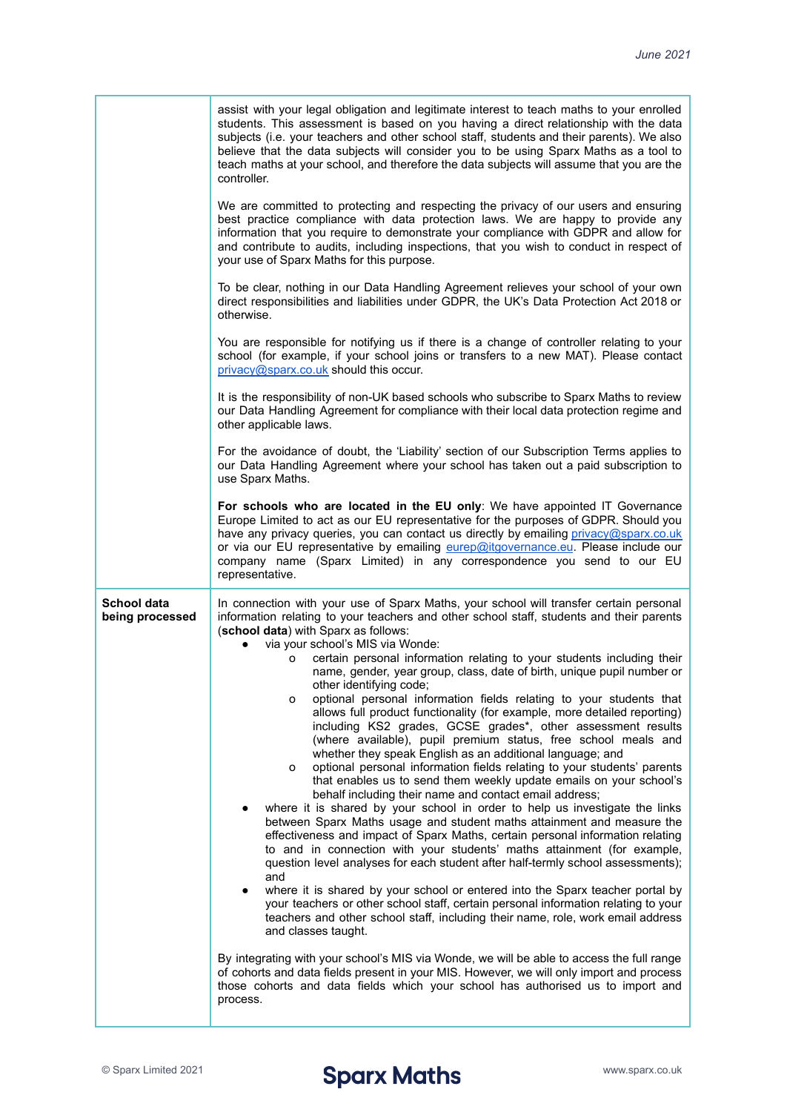|                                | assist with your legal obligation and legitimate interest to teach maths to your enrolled<br>students. This assessment is based on you having a direct relationship with the data<br>subjects (i.e. your teachers and other school staff, students and their parents). We also<br>believe that the data subjects will consider you to be using Sparx Maths as a tool to<br>teach maths at your school, and therefore the data subjects will assume that you are the<br>controller.                                                                                                                                                                                                                                                                                                                                                                                                                                                                                                                                                                                                                                                                                                                                                                                                                                                                                                                                                                                                                                                                                                                                                                                                                                                                                                                                                                                                                                                                                                                     |
|--------------------------------|--------------------------------------------------------------------------------------------------------------------------------------------------------------------------------------------------------------------------------------------------------------------------------------------------------------------------------------------------------------------------------------------------------------------------------------------------------------------------------------------------------------------------------------------------------------------------------------------------------------------------------------------------------------------------------------------------------------------------------------------------------------------------------------------------------------------------------------------------------------------------------------------------------------------------------------------------------------------------------------------------------------------------------------------------------------------------------------------------------------------------------------------------------------------------------------------------------------------------------------------------------------------------------------------------------------------------------------------------------------------------------------------------------------------------------------------------------------------------------------------------------------------------------------------------------------------------------------------------------------------------------------------------------------------------------------------------------------------------------------------------------------------------------------------------------------------------------------------------------------------------------------------------------------------------------------------------------------------------------------------------------|
|                                | We are committed to protecting and respecting the privacy of our users and ensuring<br>best practice compliance with data protection laws. We are happy to provide any<br>information that you require to demonstrate your compliance with GDPR and allow for<br>and contribute to audits, including inspections, that you wish to conduct in respect of<br>your use of Sparx Maths for this purpose.                                                                                                                                                                                                                                                                                                                                                                                                                                                                                                                                                                                                                                                                                                                                                                                                                                                                                                                                                                                                                                                                                                                                                                                                                                                                                                                                                                                                                                                                                                                                                                                                  |
|                                | To be clear, nothing in our Data Handling Agreement relieves your school of your own<br>direct responsibilities and liabilities under GDPR, the UK's Data Protection Act 2018 or<br>otherwise.                                                                                                                                                                                                                                                                                                                                                                                                                                                                                                                                                                                                                                                                                                                                                                                                                                                                                                                                                                                                                                                                                                                                                                                                                                                                                                                                                                                                                                                                                                                                                                                                                                                                                                                                                                                                         |
|                                | You are responsible for notifying us if there is a change of controller relating to your<br>school (for example, if your school joins or transfers to a new MAT). Please contact<br>privacy@sparx.co.uk should this occur.                                                                                                                                                                                                                                                                                                                                                                                                                                                                                                                                                                                                                                                                                                                                                                                                                                                                                                                                                                                                                                                                                                                                                                                                                                                                                                                                                                                                                                                                                                                                                                                                                                                                                                                                                                             |
|                                | It is the responsibility of non-UK based schools who subscribe to Sparx Maths to review<br>our Data Handling Agreement for compliance with their local data protection regime and<br>other applicable laws.                                                                                                                                                                                                                                                                                                                                                                                                                                                                                                                                                                                                                                                                                                                                                                                                                                                                                                                                                                                                                                                                                                                                                                                                                                                                                                                                                                                                                                                                                                                                                                                                                                                                                                                                                                                            |
|                                | For the avoidance of doubt, the 'Liability' section of our Subscription Terms applies to<br>our Data Handling Agreement where your school has taken out a paid subscription to<br>use Sparx Maths.                                                                                                                                                                                                                                                                                                                                                                                                                                                                                                                                                                                                                                                                                                                                                                                                                                                                                                                                                                                                                                                                                                                                                                                                                                                                                                                                                                                                                                                                                                                                                                                                                                                                                                                                                                                                     |
|                                | For schools who are located in the EU only: We have appointed IT Governance<br>Europe Limited to act as our EU representative for the purposes of GDPR. Should you<br>have any privacy queries, you can contact us directly by emailing privacy@sparx.co.uk<br>or via our EU representative by emailing eurep@itgovernance.eu. Please include our<br>company name (Sparx Limited) in any correspondence you send to our EU<br>representative.                                                                                                                                                                                                                                                                                                                                                                                                                                                                                                                                                                                                                                                                                                                                                                                                                                                                                                                                                                                                                                                                                                                                                                                                                                                                                                                                                                                                                                                                                                                                                          |
| School data<br>being processed | In connection with your use of Sparx Maths, your school will transfer certain personal<br>information relating to your teachers and other school staff, students and their parents<br>(school data) with Sparx as follows:<br>via your school's MIS via Wonde:<br>certain personal information relating to your students including their<br>0<br>name, gender, year group, class, date of birth, unique pupil number or<br>other identifying code;<br>optional personal information fields relating to your students that<br>0<br>allows full product functionality (for example, more detailed reporting)<br>including KS2 grades, GCSE grades*, other assessment results<br>(where available), pupil premium status, free school meals and<br>whether they speak English as an additional language; and<br>optional personal information fields relating to your students' parents<br>o<br>that enables us to send them weekly update emails on your school's<br>behalf including their name and contact email address;<br>where it is shared by your school in order to help us investigate the links<br>between Sparx Maths usage and student maths attainment and measure the<br>effectiveness and impact of Sparx Maths, certain personal information relating<br>to and in connection with your students' maths attainment (for example,<br>question level analyses for each student after half-termly school assessments);<br>and<br>where it is shared by your school or entered into the Sparx teacher portal by<br>your teachers or other school staff, certain personal information relating to your<br>teachers and other school staff, including their name, role, work email address<br>and classes taught.<br>By integrating with your school's MIS via Wonde, we will be able to access the full range<br>of cohorts and data fields present in your MIS. However, we will only import and process<br>those cohorts and data fields which your school has authorised us to import and |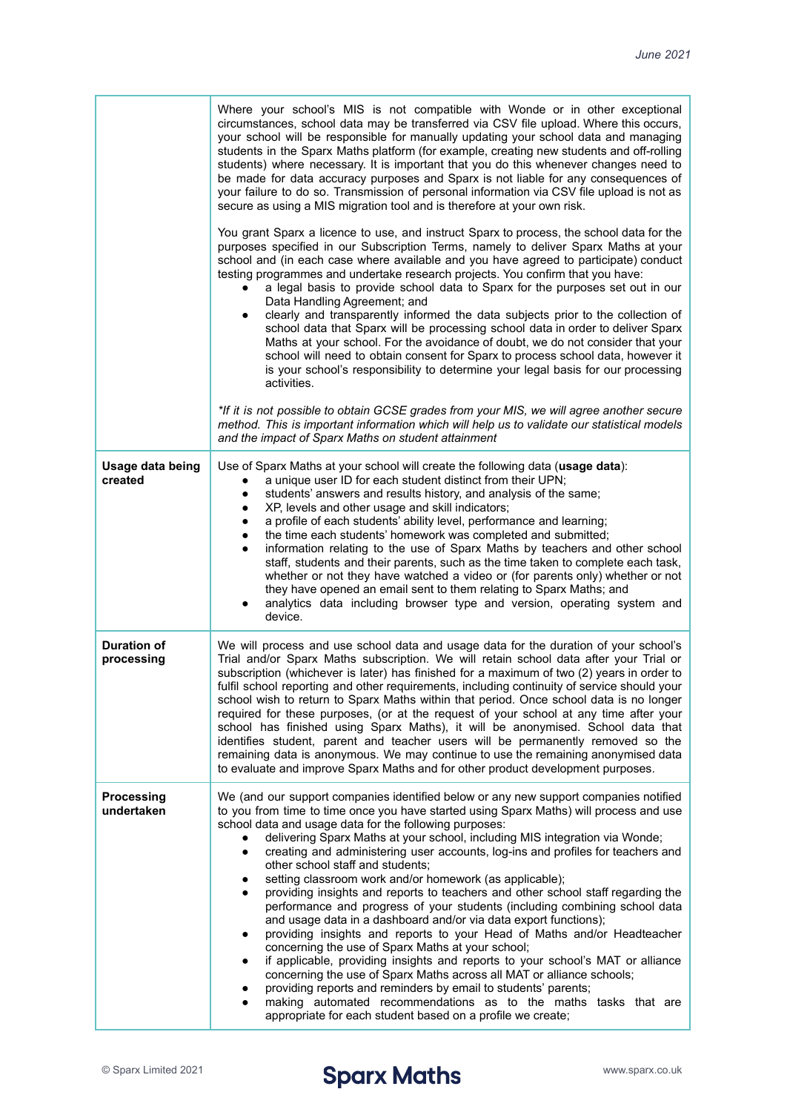|                                  | Where your school's MIS is not compatible with Wonde or in other exceptional<br>circumstances, school data may be transferred via CSV file upload. Where this occurs,<br>your school will be responsible for manually updating your school data and managing<br>students in the Sparx Maths platform (for example, creating new students and off-rolling<br>students) where necessary. It is important that you do this whenever changes need to<br>be made for data accuracy purposes and Sparx is not liable for any consequences of<br>your failure to do so. Transmission of personal information via CSV file upload is not as<br>secure as using a MIS migration tool and is therefore at your own risk.<br>You grant Sparx a licence to use, and instruct Sparx to process, the school data for the<br>purposes specified in our Subscription Terms, namely to deliver Sparx Maths at your<br>school and (in each case where available and you have agreed to participate) conduct<br>testing programmes and undertake research projects. You confirm that you have:<br>a legal basis to provide school data to Sparx for the purposes set out in our<br>Data Handling Agreement; and<br>clearly and transparently informed the data subjects prior to the collection of<br>school data that Sparx will be processing school data in order to deliver Sparx<br>Maths at your school. For the avoidance of doubt, we do not consider that your<br>school will need to obtain consent for Sparx to process school data, however it<br>is your school's responsibility to determine your legal basis for our processing<br>activities. |
|----------------------------------|--------------------------------------------------------------------------------------------------------------------------------------------------------------------------------------------------------------------------------------------------------------------------------------------------------------------------------------------------------------------------------------------------------------------------------------------------------------------------------------------------------------------------------------------------------------------------------------------------------------------------------------------------------------------------------------------------------------------------------------------------------------------------------------------------------------------------------------------------------------------------------------------------------------------------------------------------------------------------------------------------------------------------------------------------------------------------------------------------------------------------------------------------------------------------------------------------------------------------------------------------------------------------------------------------------------------------------------------------------------------------------------------------------------------------------------------------------------------------------------------------------------------------------------------------------------------------------------------------------------------------------------------|
|                                  | *If it is not possible to obtain GCSE grades from your MIS, we will agree another secure<br>method. This is important information which will help us to validate our statistical models<br>and the impact of Sparx Maths on student attainment                                                                                                                                                                                                                                                                                                                                                                                                                                                                                                                                                                                                                                                                                                                                                                                                                                                                                                                                                                                                                                                                                                                                                                                                                                                                                                                                                                                             |
| Usage data being<br>created      | Use of Sparx Maths at your school will create the following data (usage data):<br>a unique user ID for each student distinct from their UPN;<br>$\bullet$<br>students' answers and results history, and analysis of the same;<br>XP, levels and other usage and skill indicators;<br>٠<br>a profile of each students' ability level, performance and learning;<br>٠<br>the time each students' homework was completed and submitted;<br>٠<br>information relating to the use of Sparx Maths by teachers and other school<br>٠<br>staff, students and their parents, such as the time taken to complete each task,<br>whether or not they have watched a video or (for parents only) whether or not<br>they have opened an email sent to them relating to Sparx Maths; and<br>analytics data including browser type and version, operating system and<br>device.                                                                                                                                                                                                                                                                                                                                                                                                                                                                                                                                                                                                                                                                                                                                                                            |
| <b>Duration of</b><br>processing | We will process and use school data and usage data for the duration of your school's<br>Trial and/or Sparx Maths subscription. We will retain school data after your Trial or<br>subscription (whichever is later) has finished for a maximum of two (2) years in order to<br>fulfil school reporting and other requirements, including continuity of service should your<br>school wish to return to Sparx Maths within that period. Once school data is no longer<br>required for these purposes, (or at the request of your school at any time after your<br>school has finished using Sparx Maths), it will be anonymised. School data that<br>identifies student, parent and teacher users will be permanently removed so the<br>remaining data is anonymous. We may continue to use the remaining anonymised data<br>to evaluate and improve Sparx Maths and for other product development purposes.                                                                                                                                                                                                                                                                                                                                                                                                                                                                                                                                                                                                                                                                                                                                 |
| <b>Processing</b><br>undertaken  | We (and our support companies identified below or any new support companies notified<br>to you from time to time once you have started using Sparx Maths) will process and use<br>school data and usage data for the following purposes:<br>delivering Sparx Maths at your school, including MIS integration via Wonde;<br>creating and administering user accounts, log-ins and profiles for teachers and<br>$\bullet$<br>other school staff and students;<br>setting classroom work and/or homework (as applicable);<br>providing insights and reports to teachers and other school staff regarding the<br>performance and progress of your students (including combining school data<br>and usage data in a dashboard and/or via data export functions);<br>providing insights and reports to your Head of Maths and/or Headteacher<br>concerning the use of Sparx Maths at your school;<br>if applicable, providing insights and reports to your school's MAT or alliance<br>concerning the use of Sparx Maths across all MAT or alliance schools;<br>providing reports and reminders by email to students' parents;<br>making automated recommendations as to the maths tasks that are<br>appropriate for each student based on a profile we create;                                                                                                                                                                                                                                                                                                                                                                                  |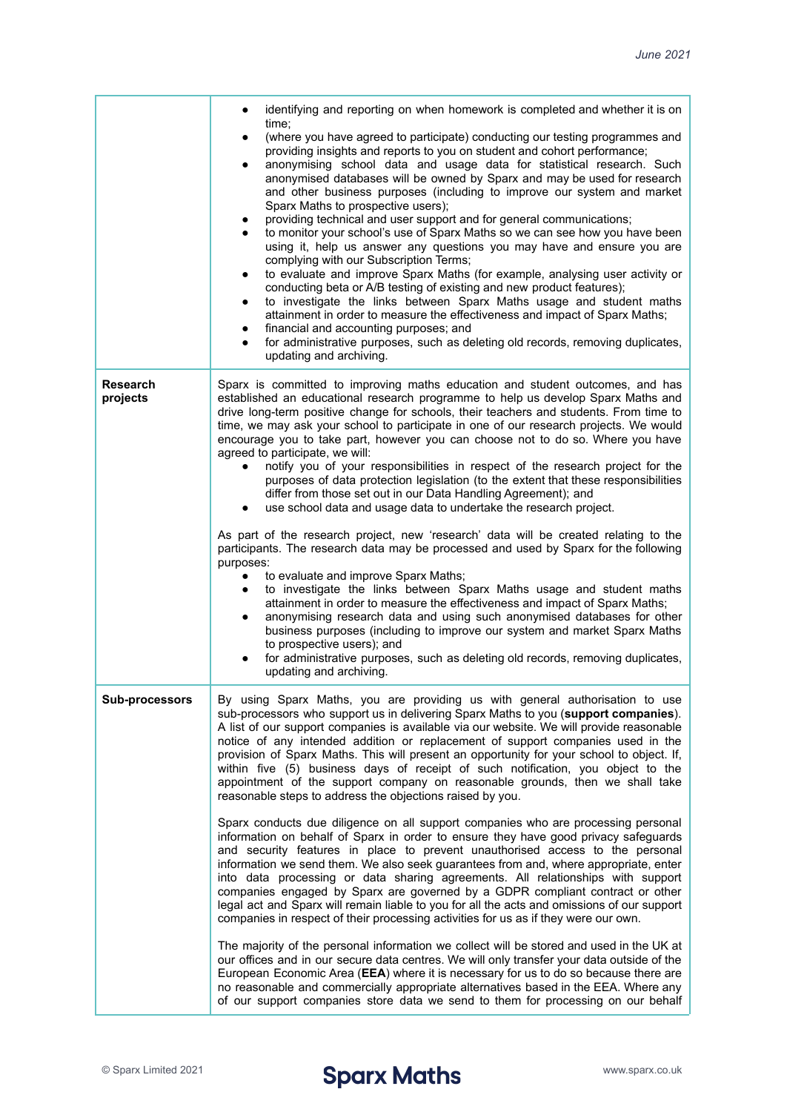|                             | identifying and reporting on when homework is completed and whether it is on<br>time;                                                                                                                                                                                                                                                                                                                                                                                                                                                                                                                                                                                                                                                                                                                                                                                                                                                                                                                                                                                                                                                                                                                                 |
|-----------------------------|-----------------------------------------------------------------------------------------------------------------------------------------------------------------------------------------------------------------------------------------------------------------------------------------------------------------------------------------------------------------------------------------------------------------------------------------------------------------------------------------------------------------------------------------------------------------------------------------------------------------------------------------------------------------------------------------------------------------------------------------------------------------------------------------------------------------------------------------------------------------------------------------------------------------------------------------------------------------------------------------------------------------------------------------------------------------------------------------------------------------------------------------------------------------------------------------------------------------------|
|                             | (where you have agreed to participate) conducting our testing programmes and<br>$\bullet$<br>providing insights and reports to you on student and cohort performance;<br>anonymising school data and usage data for statistical research. Such<br>٠<br>anonymised databases will be owned by Sparx and may be used for research<br>and other business purposes (including to improve our system and market<br>Sparx Maths to prospective users);<br>providing technical and user support and for general communications;<br>to monitor your school's use of Sparx Maths so we can see how you have been<br>using it, help us answer any questions you may have and ensure you are<br>complying with our Subscription Terms;<br>to evaluate and improve Sparx Maths (for example, analysing user activity or<br>conducting beta or A/B testing of existing and new product features);<br>to investigate the links between Sparx Maths usage and student maths<br>٠<br>attainment in order to measure the effectiveness and impact of Sparx Maths;<br>financial and accounting purposes; and<br>for administrative purposes, such as deleting old records, removing duplicates,<br>$\bullet$<br>updating and archiving. |
| <b>Research</b><br>projects | Sparx is committed to improving maths education and student outcomes, and has<br>established an educational research programme to help us develop Sparx Maths and<br>drive long-term positive change for schools, their teachers and students. From time to<br>time, we may ask your school to participate in one of our research projects. We would<br>encourage you to take part, however you can choose not to do so. Where you have<br>agreed to participate, we will:<br>notify you of your responsibilities in respect of the research project for the<br>purposes of data protection legislation (to the extent that these responsibilities<br>differ from those set out in our Data Handling Agreement); and<br>use school data and usage data to undertake the research project.                                                                                                                                                                                                                                                                                                                                                                                                                             |
|                             | As part of the research project, new 'research' data will be created relating to the<br>participants. The research data may be processed and used by Sparx for the following<br>purposes:<br>to evaluate and improve Sparx Maths;<br>٠<br>to investigate the links between Sparx Maths usage and student maths<br>attainment in order to measure the effectiveness and impact of Sparx Maths;<br>anonymising research data and using such anonymised databases for other<br>٠<br>business purposes (including to improve our system and market Sparx Maths<br>to prospective users); and<br>for administrative purposes, such as deleting old records, removing duplicates,<br>updating and archiving.                                                                                                                                                                                                                                                                                                                                                                                                                                                                                                                |
| <b>Sub-processors</b>       | By using Sparx Maths, you are providing us with general authorisation to use<br>sub-processors who support us in delivering Sparx Maths to you (support companies).<br>A list of our support companies is available via our website. We will provide reasonable<br>notice of any intended addition or replacement of support companies used in the<br>provision of Sparx Maths. This will present an opportunity for your school to object. If,<br>within five (5) business days of receipt of such notification, you object to the<br>appointment of the support company on reasonable grounds, then we shall take<br>reasonable steps to address the objections raised by you.                                                                                                                                                                                                                                                                                                                                                                                                                                                                                                                                      |
|                             | Sparx conducts due diligence on all support companies who are processing personal<br>information on behalf of Sparx in order to ensure they have good privacy safeguards<br>and security features in place to prevent unauthorised access to the personal<br>information we send them. We also seek guarantees from and, where appropriate, enter<br>into data processing or data sharing agreements. All relationships with support<br>companies engaged by Sparx are governed by a GDPR compliant contract or other<br>legal act and Sparx will remain liable to you for all the acts and omissions of our support<br>companies in respect of their processing activities for us as if they were our own.                                                                                                                                                                                                                                                                                                                                                                                                                                                                                                           |
|                             | The majority of the personal information we collect will be stored and used in the UK at<br>our offices and in our secure data centres. We will only transfer your data outside of the<br>European Economic Area (EEA) where it is necessary for us to do so because there are<br>no reasonable and commercially appropriate alternatives based in the EEA. Where any<br>of our support companies store data we send to them for processing on our behalf                                                                                                                                                                                                                                                                                                                                                                                                                                                                                                                                                                                                                                                                                                                                                             |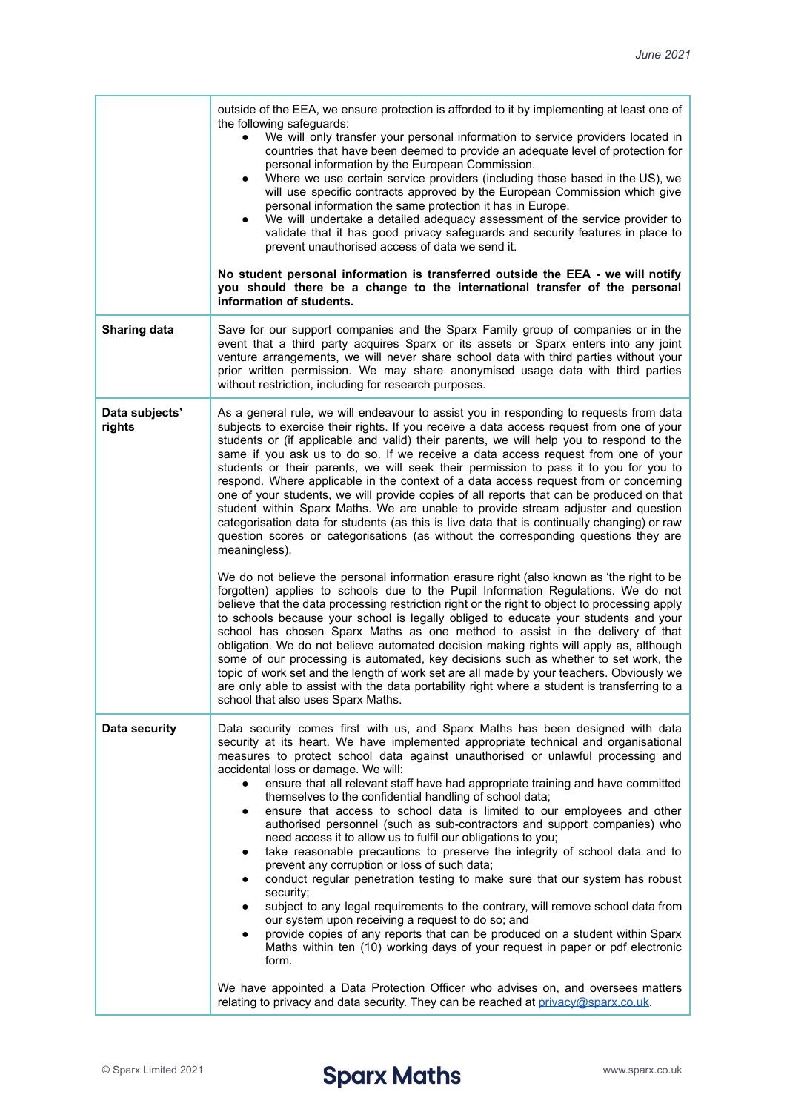|                          | outside of the EEA, we ensure protection is afforded to it by implementing at least one of<br>the following safeguards:<br>We will only transfer your personal information to service providers located in<br>countries that have been deemed to provide an adequate level of protection for<br>personal information by the European Commission.<br>Where we use certain service providers (including those based in the US), we<br>will use specific contracts approved by the European Commission which give<br>personal information the same protection it has in Europe.<br>We will undertake a detailed adequacy assessment of the service provider to<br>validate that it has good privacy safeguards and security features in place to<br>prevent unauthorised access of data we send it.<br>No student personal information is transferred outside the EEA - we will notify<br>you should there be a change to the international transfer of the personal<br>information of students.                                                                                                                                                                                                                                                                                                                                                                                                                                                                                                                                                                                                                                                                                                                                                                                                                            |
|--------------------------|--------------------------------------------------------------------------------------------------------------------------------------------------------------------------------------------------------------------------------------------------------------------------------------------------------------------------------------------------------------------------------------------------------------------------------------------------------------------------------------------------------------------------------------------------------------------------------------------------------------------------------------------------------------------------------------------------------------------------------------------------------------------------------------------------------------------------------------------------------------------------------------------------------------------------------------------------------------------------------------------------------------------------------------------------------------------------------------------------------------------------------------------------------------------------------------------------------------------------------------------------------------------------------------------------------------------------------------------------------------------------------------------------------------------------------------------------------------------------------------------------------------------------------------------------------------------------------------------------------------------------------------------------------------------------------------------------------------------------------------------------------------------------------------------------------------------------|
| <b>Sharing data</b>      | Save for our support companies and the Sparx Family group of companies or in the<br>event that a third party acquires Sparx or its assets or Sparx enters into any joint<br>venture arrangements, we will never share school data with third parties without your<br>prior written permission. We may share anonymised usage data with third parties<br>without restriction, including for research purposes.                                                                                                                                                                                                                                                                                                                                                                                                                                                                                                                                                                                                                                                                                                                                                                                                                                                                                                                                                                                                                                                                                                                                                                                                                                                                                                                                                                                                            |
| Data subjects'<br>rights | As a general rule, we will endeavour to assist you in responding to requests from data<br>subjects to exercise their rights. If you receive a data access request from one of your<br>students or (if applicable and valid) their parents, we will help you to respond to the<br>same if you ask us to do so. If we receive a data access request from one of your<br>students or their parents, we will seek their permission to pass it to you for you to<br>respond. Where applicable in the context of a data access request from or concerning<br>one of your students, we will provide copies of all reports that can be produced on that<br>student within Sparx Maths. We are unable to provide stream adjuster and question<br>categorisation data for students (as this is live data that is continually changing) or raw<br>question scores or categorisations (as without the corresponding questions they are<br>meaningless).<br>We do not believe the personal information erasure right (also known as 'the right to be<br>forgotten) applies to schools due to the Pupil Information Regulations. We do not<br>believe that the data processing restriction right or the right to object to processing apply<br>to schools because your school is legally obliged to educate your students and your<br>school has chosen Sparx Maths as one method to assist in the delivery of that<br>obligation. We do not believe automated decision making rights will apply as, although<br>some of our processing is automated, key decisions such as whether to set work, the<br>topic of work set and the length of work set are all made by your teachers. Obviously we<br>are only able to assist with the data portability right where a student is transferring to a<br>school that also uses Sparx Maths. |
| <b>Data security</b>     | Data security comes first with us, and Sparx Maths has been designed with data<br>security at its heart. We have implemented appropriate technical and organisational<br>measures to protect school data against unauthorised or unlawful processing and<br>accidental loss or damage. We will:<br>ensure that all relevant staff have had appropriate training and have committed<br>themselves to the confidential handling of school data;<br>ensure that access to school data is limited to our employees and other<br>٠<br>authorised personnel (such as sub-contractors and support companies) who<br>need access it to allow us to fulfil our obligations to you;<br>take reasonable precautions to preserve the integrity of school data and to<br>prevent any corruption or loss of such data;<br>conduct regular penetration testing to make sure that our system has robust<br>٠<br>security;<br>subject to any legal requirements to the contrary, will remove school data from<br>our system upon receiving a request to do so; and<br>provide copies of any reports that can be produced on a student within Sparx<br>Maths within ten (10) working days of your request in paper or pdf electronic<br>form.<br>We have appointed a Data Protection Officer who advises on, and oversees matters<br>relating to privacy and data security. They can be reached at privacy@sparx.co.uk.                                                                                                                                                                                                                                                                                                                                                                                                                    |